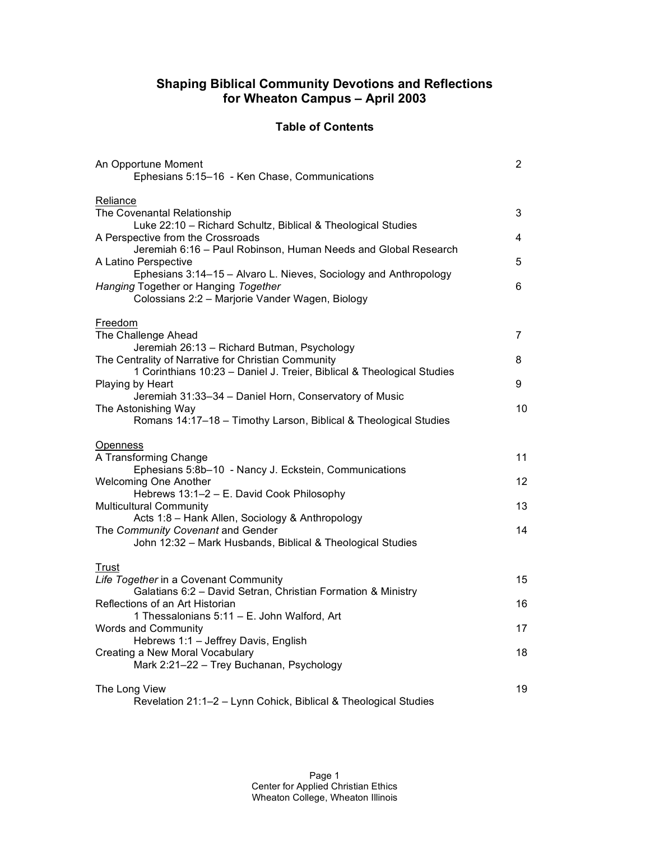### **Shaping Biblical Community Devotions and Reflections for Wheaton Campus – April 2003**

### **Table of Contents**

| An Opportune Moment<br>Ephesians 5:15-16 - Ken Chase, Communications                                                                                                                                                                                                                                                                                                                                             | $\mathbf{2}^{\prime}$ |
|------------------------------------------------------------------------------------------------------------------------------------------------------------------------------------------------------------------------------------------------------------------------------------------------------------------------------------------------------------------------------------------------------------------|-----------------------|
| Reliance<br>The Covenantal Relationship<br>Luke 22:10 - Richard Schultz, Biblical & Theological Studies<br>A Perspective from the Crossroads<br>Jeremiah 6:16 - Paul Robinson, Human Needs and Global Research<br>A Latino Perspective<br>Ephesians 3:14-15 - Alvaro L. Nieves, Sociology and Anthropology<br>Hanging Together or Hanging Together<br>Colossians 2:2 - Marjorie Vander Wagen, Biology<br>Freedom | 3<br>4<br>5<br>6      |
| The Challenge Ahead<br>Jeremiah 26:13 - Richard Butman, Psychology<br>The Centrality of Narrative for Christian Community                                                                                                                                                                                                                                                                                        | 7<br>8                |
| 1 Corinthians 10:23 - Daniel J. Treier, Biblical & Theological Studies<br>Playing by Heart                                                                                                                                                                                                                                                                                                                       | 9                     |
| Jeremiah 31:33-34 - Daniel Horn, Conservatory of Music<br>The Astonishing Way<br>Romans 14:17-18 - Timothy Larson, Biblical & Theological Studies                                                                                                                                                                                                                                                                | 10                    |
| Openness<br>A Transforming Change<br>Ephesians 5:8b-10 - Nancy J. Eckstein, Communications<br><b>Welcoming One Another</b><br>Hebrews 13:1-2 - E. David Cook Philosophy<br><b>Multicultural Community</b><br>Acts 1:8 - Hank Allen, Sociology & Anthropology<br>The Community Covenant and Gender<br>John 12:32 - Mark Husbands, Biblical & Theological Studies                                                  | 11<br>12<br>13<br>14  |
| Trust<br>Life Together in a Covenant Community<br>Galatians 6:2 - David Setran, Christian Formation & Ministry<br>Reflections of an Art Historian                                                                                                                                                                                                                                                                | 15<br>16              |
| 1 Thessalonians 5:11 - E. John Walford, Art<br><b>Words and Community</b>                                                                                                                                                                                                                                                                                                                                        | 17                    |
| Hebrews 1:1 - Jeffrey Davis, English<br>Creating a New Moral Vocabulary<br>Mark 2:21-22 - Trey Buchanan, Psychology                                                                                                                                                                                                                                                                                              | 18                    |
| The Long View<br>Revelation 21:1-2 - Lynn Cohick, Biblical & Theological Studies                                                                                                                                                                                                                                                                                                                                 | 19                    |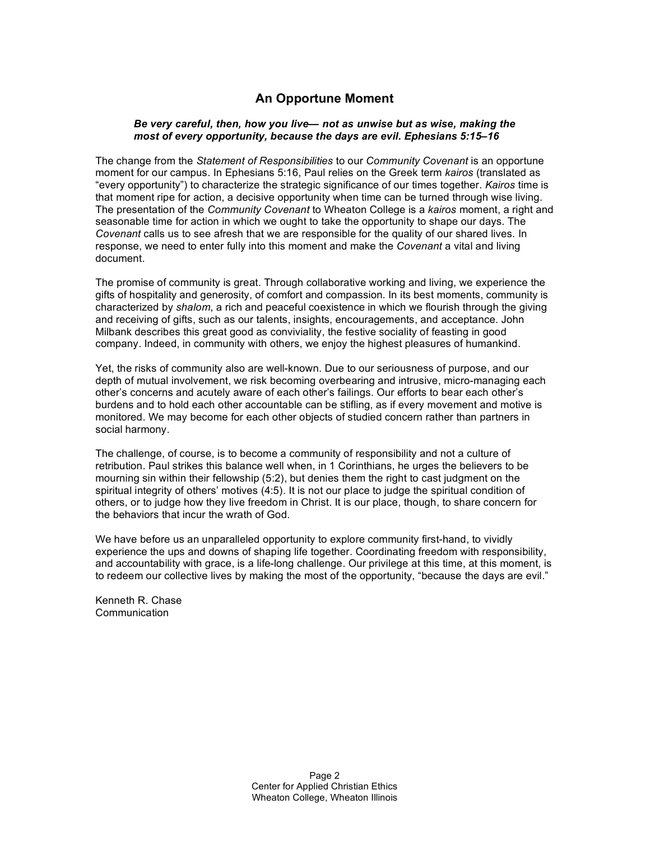# **An Opportune Moment**

### *Be very careful, then, how you live— not as unwise but as wise, making the most of every opportunity, because the days are evil. Ephesians 5:15–16*

The change from the *Statement of Responsibilities* to our *Community Covenant* is an opportune moment for our campus. In Ephesians 5:16, Paul relies on the Greek term *kairos* (translated as "every opportunity") to characterize the strategic significance of our times together. *Kairos* time is that moment ripe for action, a decisive opportunity when time can be turned through wise living. The presentation of the *Community Covenant* to Wheaton College is a *kairos* moment, a right and seasonable time for action in which we ought to take the opportunity to shape our days. The *Covenant* calls us to see afresh that we are responsible for the quality of our shared lives. In response, we need to enter fully into this moment and make the *Covenant* a vital and living document.

The promise of community is great. Through collaborative working and living, we experience the gifts of hospitality and generosity, of comfort and compassion. In its best moments, community is characterized by *shalom*, a rich and peaceful coexistence in which we flourish through the giving and receiving of gifts, such as our talents, insights, encouragements, and acceptance. John Milbank describes this great good as conviviality, the festive sociality of feasting in good company. Indeed, in community with others, we enjoy the highest pleasures of humankind.

Yet, the risks of community also are well-known. Due to our seriousness of purpose, and our depth of mutual involvement, we risk becoming overbearing and intrusive, micro-managing each other's concerns and acutely aware of each other's failings. Our efforts to bear each other's burdens and to hold each other accountable can be stifling, as if every movement and motive is monitored. We may become for each other objects of studied concern rather than partners in social harmony.

The challenge, of course, is to become a community of responsibility and not a culture of retribution. Paul strikes this balance well when, in 1 Corinthians, he urges the believers to be mourning sin within their fellowship (5:2), but denies them the right to cast judgment on the spiritual integrity of others' motives (4:5). It is not our place to judge the spiritual condition of others, or to judge how they live freedom in Christ. It is our place, though, to share concern for the behaviors that incur the wrath of God.

We have before us an unparalleled opportunity to explore community first-hand, to vividly experience the ups and downs of shaping life together. Coordinating freedom with responsibility, and accountability with grace, is a life-long challenge. Our privilege at this time, at this moment, is to redeem our collective lives by making the most of the opportunity, "because the days are evil."

Kenneth R. Chase **Communication**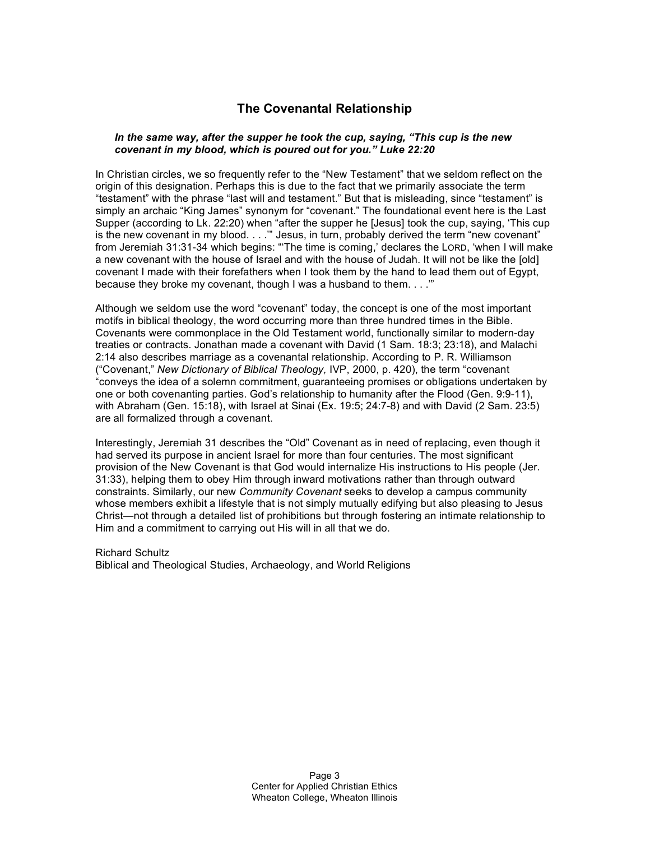# **The Covenantal Relationship**

#### *In the same way, after the supper he took the cup, saying, "This cup is the new covenant in my blood, which is poured out for you." Luke 22:20*

In Christian circles, we so frequently refer to the "New Testament" that we seldom reflect on the origin of this designation. Perhaps this is due to the fact that we primarily associate the term "testament" with the phrase "last will and testament." But that is misleading, since "testament" is simply an archaic "King James" synonym for "covenant." The foundational event here is the Last Supper (according to Lk. 22:20) when "after the supper he [Jesus] took the cup, saying, 'This cup is the new covenant in my blood. . . .'" Jesus, in turn, probably derived the term "new covenant" from Jeremiah 31:31-34 which begins: "'The time is coming,' declares the LORD, 'when I will make a new covenant with the house of Israel and with the house of Judah. It will not be like the [old] covenant I made with their forefathers when I took them by the hand to lead them out of Egypt, because they broke my covenant, though I was a husband to them. . . .'"

Although we seldom use the word "covenant" today, the concept is one of the most important motifs in biblical theology, the word occurring more than three hundred times in the Bible. Covenants were commonplace in the Old Testament world, functionally similar to modern-day treaties or contracts. Jonathan made a covenant with David (1 Sam. 18:3; 23:18), and Malachi 2:14 also describes marriage as a covenantal relationship. According to P. R. Williamson ("Covenant," *New Dictionary of Biblical Theology,* IVP, 2000, p. 420), the term "covenant "conveys the idea of a solemn commitment, guaranteeing promises or obligations undertaken by one or both covenanting parties. God's relationship to humanity after the Flood (Gen. 9:9-11), with Abraham (Gen. 15:18), with Israel at Sinai (Ex. 19:5; 24:7-8) and with David (2 Sam. 23:5) are all formalized through a covenant.

Interestingly, Jeremiah 31 describes the "Old" Covenant as in need of replacing, even though it had served its purpose in ancient Israel for more than four centuries. The most significant provision of the New Covenant is that God would internalize His instructions to His people (Jer. 31:33), helping them to obey Him through inward motivations rather than through outward constraints. Similarly, our new *Community Covenant* seeks to develop a campus community whose members exhibit a lifestyle that is not simply mutually edifying but also pleasing to Jesus Christ—not through a detailed list of prohibitions but through fostering an intimate relationship to Him and a commitment to carrying out His will in all that we do.

### Richard Schultz Biblical and Theological Studies, Archaeology, and World Religions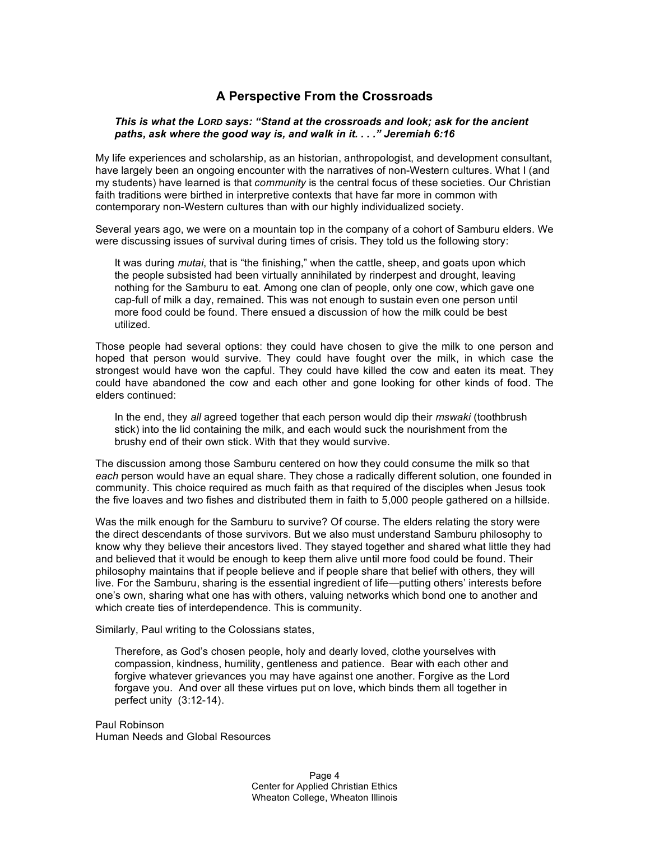# **A Perspective From the Crossroads**

#### *This is what the LORD says: "Stand at the crossroads and look; ask for the ancient paths, ask where the good way is, and walk in it. . . ." Jeremiah 6:16*

My life experiences and scholarship, as an historian, anthropologist, and development consultant, have largely been an ongoing encounter with the narratives of non-Western cultures. What I (and my students) have learned is that *community* is the central focus of these societies. Our Christian faith traditions were birthed in interpretive contexts that have far more in common with contemporary non-Western cultures than with our highly individualized society.

Several years ago, we were on a mountain top in the company of a cohort of Samburu elders. We were discussing issues of survival during times of crisis. They told us the following story:

It was during *mutai*, that is "the finishing," when the cattle, sheep, and goats upon which the people subsisted had been virtually annihilated by rinderpest and drought, leaving nothing for the Samburu to eat. Among one clan of people, only one cow, which gave one cap-full of milk a day, remained. This was not enough to sustain even one person until more food could be found. There ensued a discussion of how the milk could be best utilized.

Those people had several options: they could have chosen to give the milk to one person and hoped that person would survive. They could have fought over the milk, in which case the strongest would have won the capful. They could have killed the cow and eaten its meat. They could have abandoned the cow and each other and gone looking for other kinds of food. The elders continued:

In the end, they *all* agreed together that each person would dip their *mswaki* (toothbrush stick) into the lid containing the milk, and each would suck the nourishment from the brushy end of their own stick. With that they would survive.

The discussion among those Samburu centered on how they could consume the milk so that *each* person would have an equal share. They chose a radically different solution, one founded in community. This choice required as much faith as that required of the disciples when Jesus took the five loaves and two fishes and distributed them in faith to 5,000 people gathered on a hillside.

Was the milk enough for the Samburu to survive? Of course. The elders relating the story were the direct descendants of those survivors. But we also must understand Samburu philosophy to know why they believe their ancestors lived. They stayed together and shared what little they had and believed that it would be enough to keep them alive until more food could be found. Their philosophy maintains that if people believe and if people share that belief with others, they will live. For the Samburu, sharing is the essential ingredient of life—putting others' interests before one's own, sharing what one has with others, valuing networks which bond one to another and which create ties of interdependence. This is community.

Similarly, Paul writing to the Colossians states,

Therefore, as God's chosen people, holy and dearly loved, clothe yourselves with compassion, kindness, humility, gentleness and patience. Bear with each other and forgive whatever grievances you may have against one another. Forgive as the Lord forgave you. And over all these virtues put on love, which binds them all together in perfect unity (3:12-14).

Paul Robinson Human Needs and Global Resources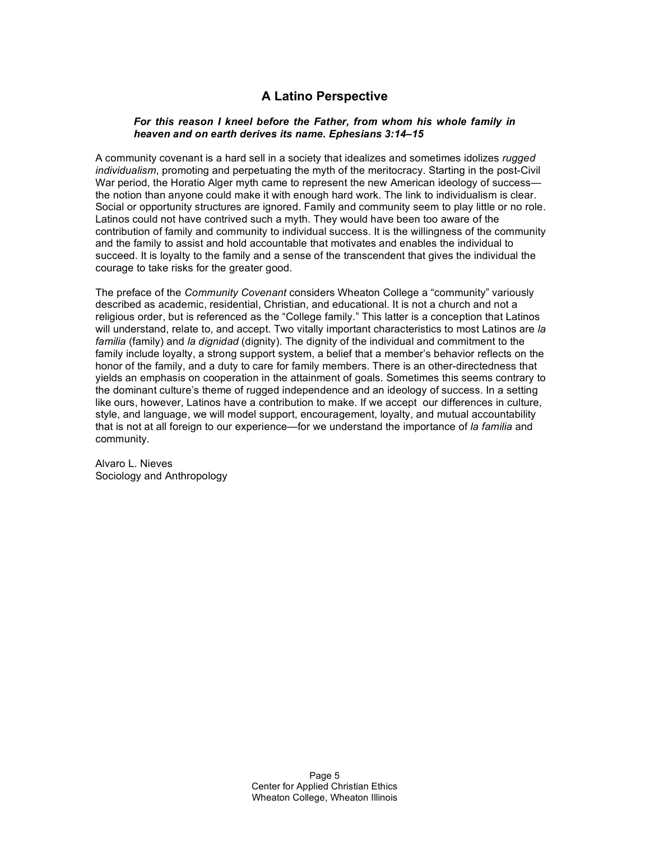# **A Latino Perspective**

### *For this reason I kneel before the Father, from whom his whole family in heaven and on earth derives its name. Ephesians 3:14–15*

A community covenant is a hard sell in a society that idealizes and sometimes idolizes *rugged individualism*, promoting and perpetuating the myth of the meritocracy. Starting in the post-Civil War period, the Horatio Alger myth came to represent the new American ideology of success the notion than anyone could make it with enough hard work. The link to individualism is clear. Social or opportunity structures are ignored. Family and community seem to play little or no role. Latinos could not have contrived such a myth. They would have been too aware of the contribution of family and community to individual success. It is the willingness of the community and the family to assist and hold accountable that motivates and enables the individual to succeed. It is loyalty to the family and a sense of the transcendent that gives the individual the courage to take risks for the greater good.

The preface of the *Community Covenant* considers Wheaton College a "community" variously described as academic, residential, Christian, and educational. It is not a church and not a religious order, but is referenced as the "College family." This latter is a conception that Latinos will understand, relate to, and accept. Two vitally important characteristics to most Latinos are *la familia* (family) and *la dignidad* (dignity). The dignity of the individual and commitment to the family include loyalty, a strong support system, a belief that a member's behavior reflects on the honor of the family, and a duty to care for family members. There is an other-directedness that yields an emphasis on cooperation in the attainment of goals. Sometimes this seems contrary to the dominant culture's theme of rugged independence and an ideology of success. In a setting like ours, however, Latinos have a contribution to make. If we accept our differences in culture, style, and language, we will model support, encouragement, loyalty, and mutual accountability that is not at all foreign to our experience—for we understand the importance of *la familia* and community.

Alvaro L. Nieves Sociology and Anthropology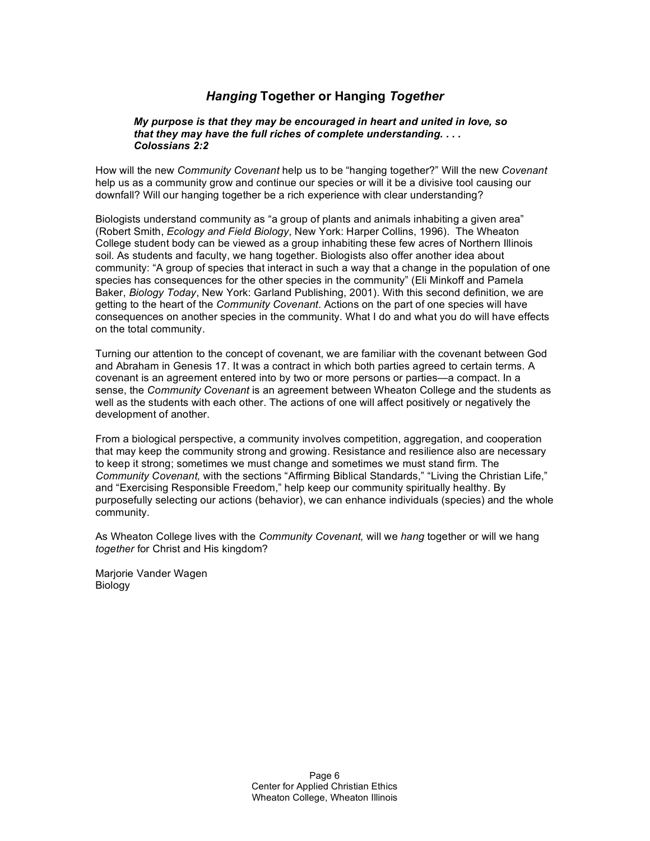# *Hanging* **Together or Hanging** *Together*

### *My purpose is that they may be encouraged in heart and united in love, so that they may have the full riches of complete understanding. . . . Colossians 2:2*

How will the new *Community Covenant* help us to be "hanging together?" Will the new *Covenant* help us as a community grow and continue our species or will it be a divisive tool causing our downfall? Will our hanging together be a rich experience with clear understanding?

Biologists understand community as "a group of plants and animals inhabiting a given area" (Robert Smith, *Ecology and Field Biology*, New York: Harper Collins, 1996). The Wheaton College student body can be viewed as a group inhabiting these few acres of Northern Illinois soil. As students and faculty, we hang together. Biologists also offer another idea about community: "A group of species that interact in such a way that a change in the population of one species has consequences for the other species in the community" (Eli Minkoff and Pamela Baker, *Biology Today*, New York: Garland Publishing, 2001). With this second definition, we are getting to the heart of the *Community Covenant*. Actions on the part of one species will have consequences on another species in the community. What I do and what you do will have effects on the total community.

Turning our attention to the concept of covenant, we are familiar with the covenant between God and Abraham in Genesis 17. It was a contract in which both parties agreed to certain terms. A covenant is an agreement entered into by two or more persons or parties—a compact. In a sense, the *Community Covenant* is an agreement between Wheaton College and the students as well as the students with each other. The actions of one will affect positively or negatively the development of another.

From a biological perspective, a community involves competition, aggregation, and cooperation that may keep the community strong and growing. Resistance and resilience also are necessary to keep it strong; sometimes we must change and sometimes we must stand firm. The *Community Covenant,* with the sections "Affirming Biblical Standards," "Living the Christian Life," and "Exercising Responsible Freedom," help keep our community spiritually healthy. By purposefully selecting our actions (behavior), we can enhance individuals (species) and the whole community.

As Wheaton College lives with the *Community Covenant,* will we *hang* together or will we hang *together* for Christ and His kingdom?

Marjorie Vander Wagen **Biology**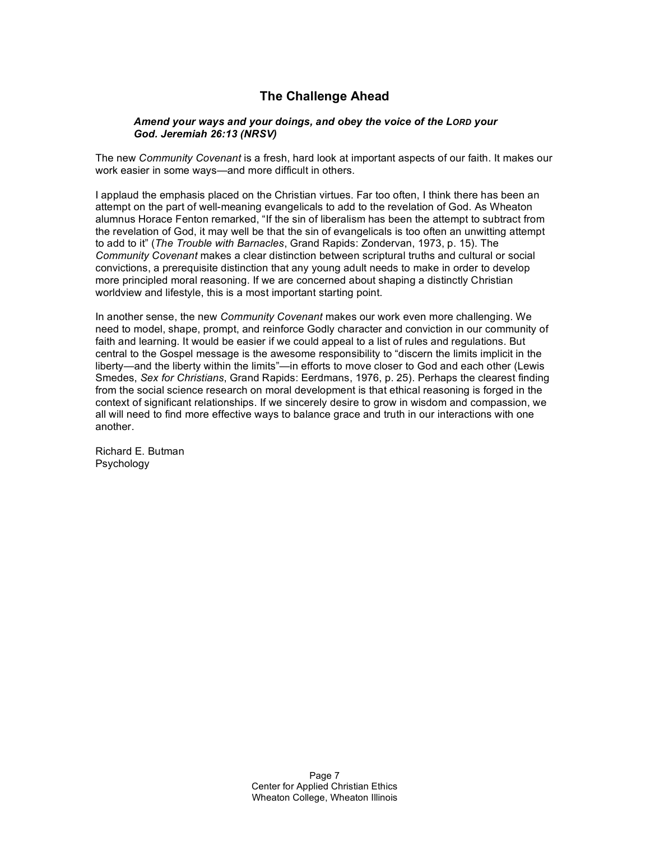# **The Challenge Ahead**

### *Amend your ways and your doings, and obey the voice of the LORD your God. Jeremiah 26:13 (NRSV)*

The new *Community Covenant* is a fresh, hard look at important aspects of our faith. It makes our work easier in some ways—and more difficult in others.

I applaud the emphasis placed on the Christian virtues. Far too often, I think there has been an attempt on the part of well-meaning evangelicals to add to the revelation of God. As Wheaton alumnus Horace Fenton remarked, "If the sin of liberalism has been the attempt to subtract from the revelation of God, it may well be that the sin of evangelicals is too often an unwitting attempt to add to it" (*The Trouble with Barnacles*, Grand Rapids: Zondervan, 1973, p. 15). The *Community Covenant* makes a clear distinction between scriptural truths and cultural or social convictions, a prerequisite distinction that any young adult needs to make in order to develop more principled moral reasoning. If we are concerned about shaping a distinctly Christian worldview and lifestyle, this is a most important starting point.

In another sense, the new *Community Covenant* makes our work even more challenging. We need to model, shape, prompt, and reinforce Godly character and conviction in our community of faith and learning. It would be easier if we could appeal to a list of rules and regulations. But central to the Gospel message is the awesome responsibility to "discern the limits implicit in the liberty—and the liberty within the limits"—in efforts to move closer to God and each other (Lewis Smedes, *Sex for Christians*, Grand Rapids: Eerdmans, 1976, p. 25). Perhaps the clearest finding from the social science research on moral development is that ethical reasoning is forged in the context of significant relationships. If we sincerely desire to grow in wisdom and compassion, we all will need to find more effective ways to balance grace and truth in our interactions with one another.

Richard E. Butman Psychology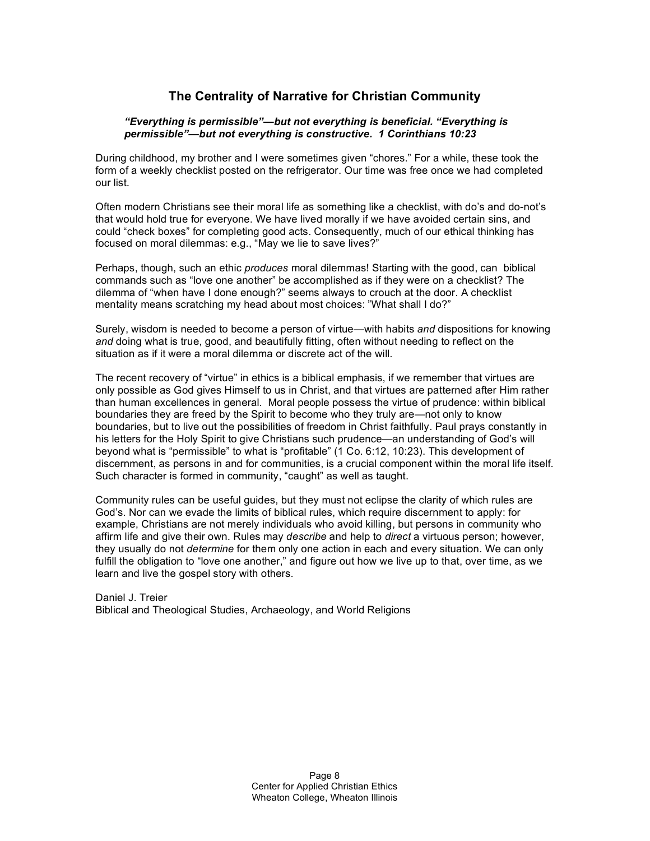# **The Centrality of Narrative for Christian Community**

### *"Everything is permissible"—but not everything is beneficial. "Everything is permissible"—but not everything is constructive. 1 Corinthians 10:23*

During childhood, my brother and I were sometimes given "chores." For a while, these took the form of a weekly checklist posted on the refrigerator. Our time was free once we had completed our list.

Often modern Christians see their moral life as something like a checklist, with do's and do-not's that would hold true for everyone. We have lived morally if we have avoided certain sins, and could "check boxes" for completing good acts. Consequently, much of our ethical thinking has focused on moral dilemmas: e.g., "May we lie to save lives?"

Perhaps, though, such an ethic *produces* moral dilemmas! Starting with the good, can biblical commands such as "love one another" be accomplished as if they were on a checklist? The dilemma of "when have I done enough?" seems always to crouch at the door. A checklist mentality means scratching my head about most choices: "What shall I do?"

Surely, wisdom is needed to become a person of virtue—with habits *and* dispositions for knowing *and* doing what is true, good, and beautifully fitting, often without needing to reflect on the situation as if it were a moral dilemma or discrete act of the will.

The recent recovery of "virtue" in ethics is a biblical emphasis, if we remember that virtues are only possible as God gives Himself to us in Christ, and that virtues are patterned after Him rather than human excellences in general. Moral people possess the virtue of prudence: within biblical boundaries they are freed by the Spirit to become who they truly are—not only to know boundaries, but to live out the possibilities of freedom in Christ faithfully. Paul prays constantly in his letters for the Holy Spirit to give Christians such prudence—an understanding of God's will beyond what is "permissible" to what is "profitable" (1 Co. 6:12, 10:23). This development of discernment, as persons in and for communities, is a crucial component within the moral life itself. Such character is formed in community, "caught" as well as taught.

Community rules can be useful guides, but they must not eclipse the clarity of which rules are God's. Nor can we evade the limits of biblical rules, which require discernment to apply: for example, Christians are not merely individuals who avoid killing, but persons in community who affirm life and give their own. Rules may *describe* and help to *direct* a virtuous person; however, they usually do not *determine* for them only one action in each and every situation. We can only fulfill the obligation to "love one another," and figure out how we live up to that, over time, as we learn and live the gospel story with others.

Daniel J. Treier Biblical and Theological Studies, Archaeology, and World Religions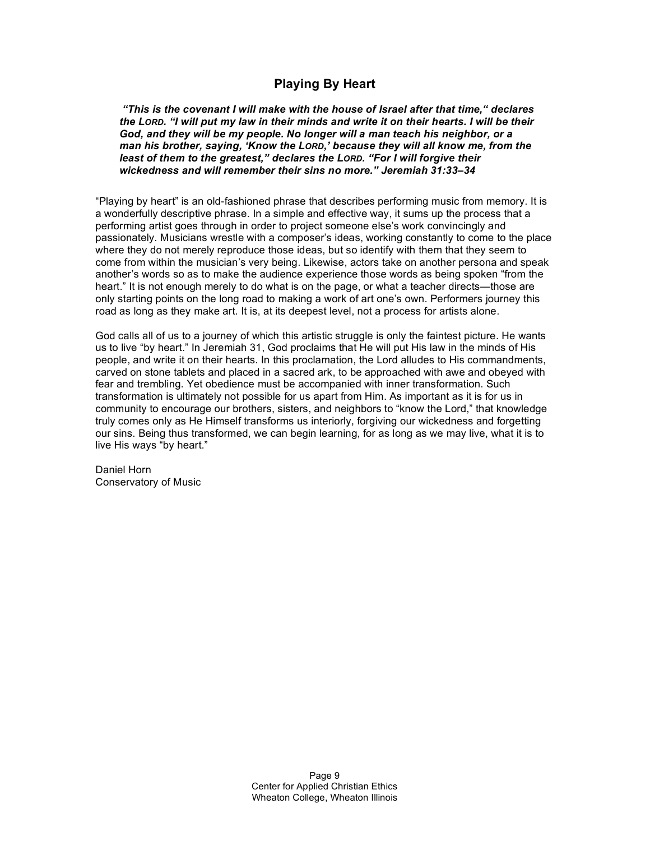## **Playing By Heart**

*"This is the covenant I will make with the house of Israel after that time," declares* the LORD. "I will put my law in their minds and write it on their hearts. I will be their *God, and they will be my people. No longer will a man teach his neighbor, or a man his brother, saying, 'Know the LORD,' because they will all know me, from the least of them to the greatest," declares the LORD. "For I will forgive their wickedness and will remember their sins no more." Jeremiah 31:33–34*

"Playing by heart" is an old-fashioned phrase that describes performing music from memory. It is a wonderfully descriptive phrase. In a simple and effective way, it sums up the process that a performing artist goes through in order to project someone else's work convincingly and passionately. Musicians wrestle with a composer's ideas, working constantly to come to the place where they do not merely reproduce those ideas, but so identify with them that they seem to come from within the musician's very being. Likewise, actors take on another persona and speak another's words so as to make the audience experience those words as being spoken "from the heart." It is not enough merely to do what is on the page, or what a teacher directs—those are only starting points on the long road to making a work of art one's own. Performers journey this road as long as they make art. It is, at its deepest level, not a process for artists alone.

God calls all of us to a journey of which this artistic struggle is only the faintest picture. He wants us to live "by heart." In Jeremiah 31, God proclaims that He will put His law in the minds of His people, and write it on their hearts. In this proclamation, the Lord alludes to His commandments, carved on stone tablets and placed in a sacred ark, to be approached with awe and obeyed with fear and trembling. Yet obedience must be accompanied with inner transformation. Such transformation is ultimately not possible for us apart from Him. As important as it is for us in community to encourage our brothers, sisters, and neighbors to "know the Lord," that knowledge truly comes only as He Himself transforms us interiorly, forgiving our wickedness and forgetting our sins. Being thus transformed, we can begin learning, for as long as we may live, what it is to live His ways "by heart."

Daniel Horn Conservatory of Music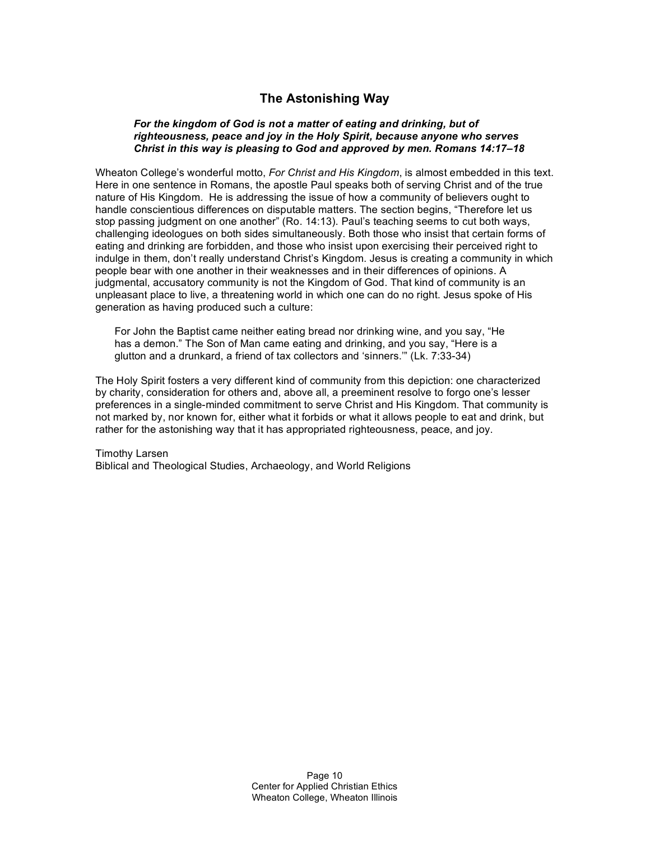# **The Astonishing Way**

### *For the kingdom of God is not a matter of eating and drinking, but of righteousness, peace and joy in the Holy Spirit, because anyone who serves Christ in this way is pleasing to God and approved by men. Romans 14:17–18*

Wheaton College's wonderful motto, *For Christ and His Kingdom*, is almost embedded in this text. Here in one sentence in Romans, the apostle Paul speaks both of serving Christ and of the true nature of His Kingdom. He is addressing the issue of how a community of believers ought to handle conscientious differences on disputable matters. The section begins, "Therefore let us stop passing judgment on one another" (Ro. 14:13). Paul's teaching seems to cut both ways, challenging ideologues on both sides simultaneously. Both those who insist that certain forms of eating and drinking are forbidden, and those who insist upon exercising their perceived right to indulge in them, don't really understand Christ's Kingdom. Jesus is creating a community in which people bear with one another in their weaknesses and in their differences of opinions. A judgmental, accusatory community is not the Kingdom of God. That kind of community is an unpleasant place to live, a threatening world in which one can do no right. Jesus spoke of His generation as having produced such a culture:

For John the Baptist came neither eating bread nor drinking wine, and you say, "He has a demon." The Son of Man came eating and drinking, and you say, "Here is a glutton and a drunkard, a friend of tax collectors and 'sinners.'" (Lk. 7:33-34)

The Holy Spirit fosters a very different kind of community from this depiction: one characterized by charity, consideration for others and, above all, a preeminent resolve to forgo one's lesser preferences in a single-minded commitment to serve Christ and His Kingdom. That community is not marked by, nor known for, either what it forbids or what it allows people to eat and drink, but rather for the astonishing way that it has appropriated righteousness, peace, and joy.

#### Timothy Larsen Biblical and Theological Studies, Archaeology, and World Religions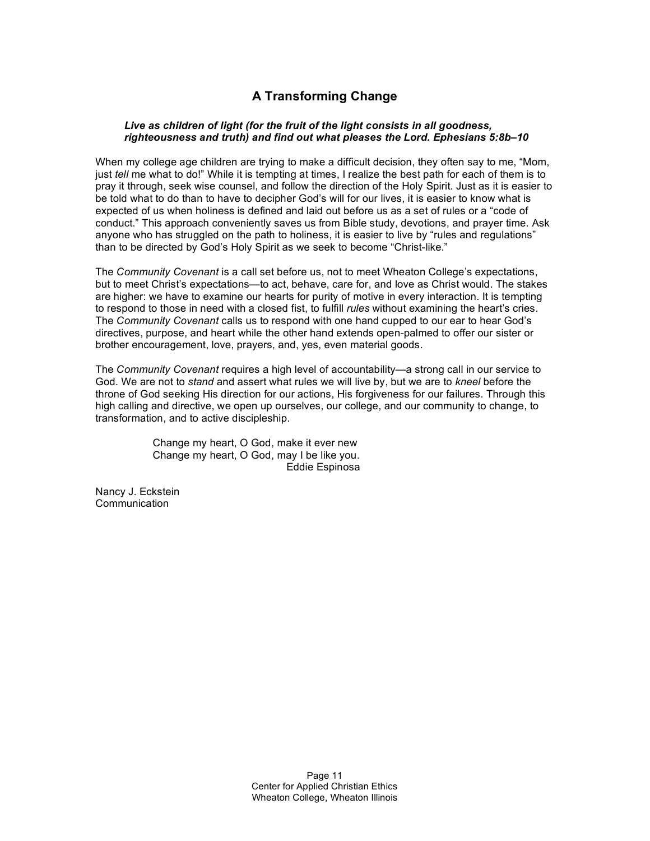# **A Transforming Change**

### *Live as children of light (for the fruit of the light consists in all goodness, righteousness and truth) and find out what pleases the Lord. Ephesians 5:8b–10*

When my college age children are trying to make a difficult decision, they often say to me, "Mom, just *tell* me what to do!" While it is tempting at times, I realize the best path for each of them is to pray it through, seek wise counsel, and follow the direction of the Holy Spirit. Just as it is easier to be told what to do than to have to decipher God's will for our lives, it is easier to know what is expected of us when holiness is defined and laid out before us as a set of rules or a "code of conduct." This approach conveniently saves us from Bible study, devotions, and prayer time. Ask anyone who has struggled on the path to holiness, it is easier to live by "rules and regulations" than to be directed by God's Holy Spirit as we seek to become "Christ-like."

The *Community Covenant* is a call set before us, not to meet Wheaton College's expectations, but to meet Christ's expectations—to act, behave, care for, and love as Christ would. The stakes are higher: we have to examine our hearts for purity of motive in every interaction. It is tempting to respond to those in need with a closed fist, to fulfill *rules* without examining the heart's cries. The *Community Covenant* calls us to respond with one hand cupped to our ear to hear God's directives, purpose, and heart while the other hand extends open-palmed to offer our sister or brother encouragement, love, prayers, and, yes, even material goods.

The *Community Covenant* requires a high level of accountability—a strong call in our service to God. We are not to *stand* and assert what rules we will live by, but we are to *kneel* before the throne of God seeking His direction for our actions, His forgiveness for our failures. Through this high calling and directive, we open up ourselves, our college, and our community to change, to transformation, and to active discipleship.

> Change my heart, O God, make it ever new Change my heart, O God, may I be like you. Eddie Espinosa

Nancy J. Eckstein **Communication**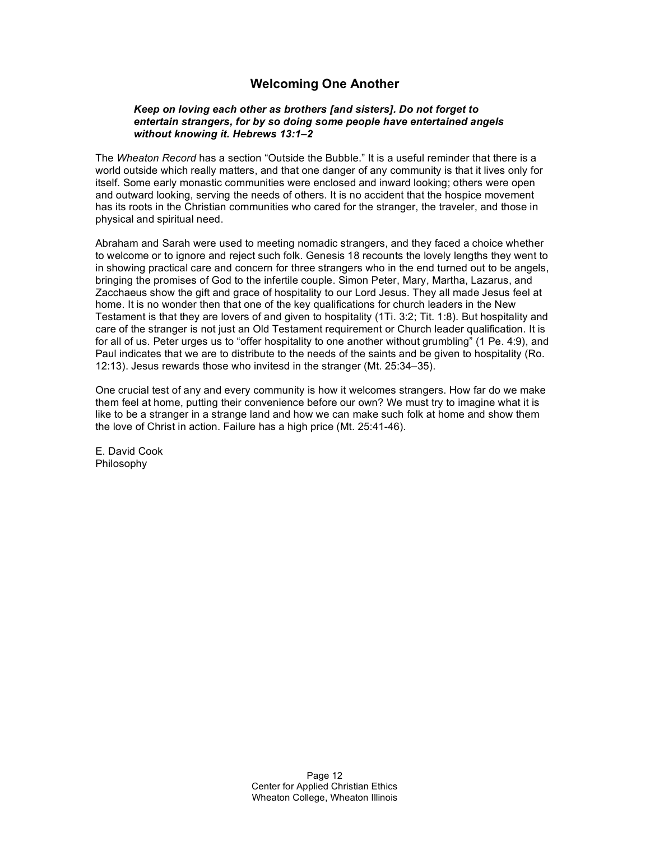# **Welcoming One Another**

#### *Keep on loving each other as brothers [and sisters]. Do not forget to entertain strangers, for by so doing some people have entertained angels without knowing it. Hebrews 13:1–2*

The *Wheaton Record* has a section "Outside the Bubble." It is a useful reminder that there is a world outside which really matters, and that one danger of any community is that it lives only for itself. Some early monastic communities were enclosed and inward looking; others were open and outward looking, serving the needs of others. It is no accident that the hospice movement has its roots in the Christian communities who cared for the stranger, the traveler, and those in physical and spiritual need.

Abraham and Sarah were used to meeting nomadic strangers, and they faced a choice whether to welcome or to ignore and reject such folk. Genesis 18 recounts the lovely lengths they went to in showing practical care and concern for three strangers who in the end turned out to be angels, bringing the promises of God to the infertile couple. Simon Peter, Mary, Martha, Lazarus, and Zacchaeus show the gift and grace of hospitality to our Lord Jesus. They all made Jesus feel at home. It is no wonder then that one of the key qualifications for church leaders in the New Testament is that they are lovers of and given to hospitality (1Ti. 3:2; Tit. 1:8). But hospitality and care of the stranger is not just an Old Testament requirement or Church leader qualification. It is for all of us. Peter urges us to "offer hospitality to one another without grumbling" (1 Pe. 4:9), and Paul indicates that we are to distribute to the needs of the saints and be given to hospitality (Ro. 12:13). Jesus rewards those who invitesd in the stranger (Mt. 25:34–35).

One crucial test of any and every community is how it welcomes strangers. How far do we make them feel at home, putting their convenience before our own? We must try to imagine what it is like to be a stranger in a strange land and how we can make such folk at home and show them the love of Christ in action. Failure has a high price (Mt. 25:41-46).

E. David Cook Philosophy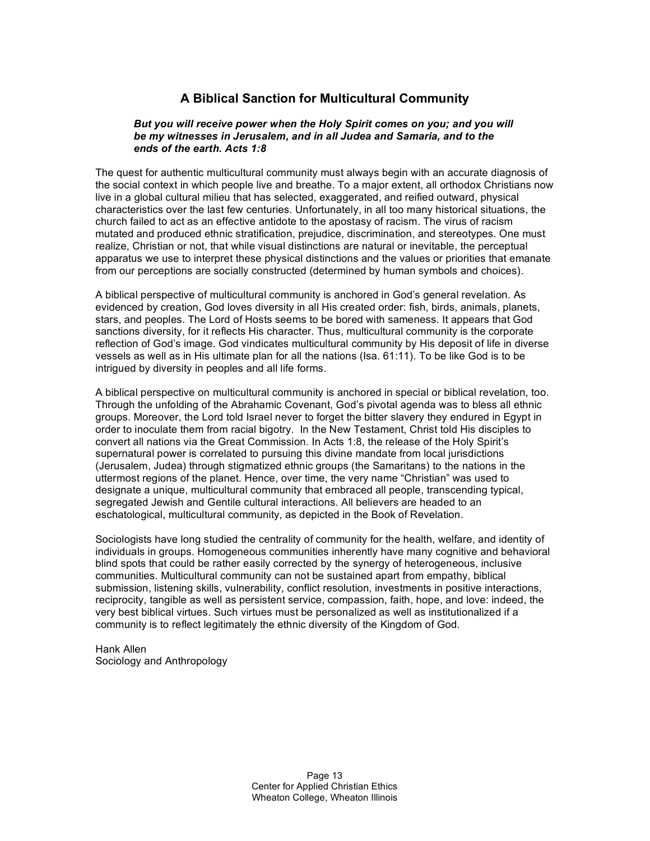# **A Biblical Sanction for Multicultural Community**

### *But you will receive power when the Holy Spirit comes on you; and you will be my witnesses in Jerusalem, and in all Judea and Samaria, and to the ends of the earth. Acts 1:8*

The quest for authentic multicultural community must always begin with an accurate diagnosis of the social context in which people live and breathe. To a major extent, all orthodox Christians now live in a global cultural milieu that has selected, exaggerated, and reified outward, physical characteristics over the last few centuries. Unfortunately, in all too many historical situations, the church failed to act as an effective antidote to the apostasy of racism. The virus of racism mutated and produced ethnic stratification, prejudice, discrimination, and stereotypes. One must realize, Christian or not, that while visual distinctions are natural or inevitable, the perceptual apparatus we use to interpret these physical distinctions and the values or priorities that emanate from our perceptions are socially constructed (determined by human symbols and choices).

A biblical perspective of multicultural community is anchored in God's general revelation. As evidenced by creation, God loves diversity in all His created order: fish, birds, animals, planets, stars, and peoples. The Lord of Hosts seems to be bored with sameness. It appears that God sanctions diversity, for it reflects His character. Thus, multicultural community is the corporate reflection of God's image. God vindicates multicultural community by His deposit of life in diverse vessels as well as in His ultimate plan for all the nations (Isa. 61:11). To be like God is to be intrigued by diversity in peoples and all life forms.

A biblical perspective on multicultural community is anchored in special or biblical revelation, too. Through the unfolding of the Abrahamic Covenant, God's pivotal agenda was to bless all ethnic groups. Moreover, the Lord told Israel never to forget the bitter slavery they endured in Egypt in order to inoculate them from racial bigotry. In the New Testament, Christ told His disciples to convert all nations via the Great Commission. In Acts 1:8, the release of the Holy Spirit's supernatural power is correlated to pursuing this divine mandate from local jurisdictions (Jerusalem, Judea) through stigmatized ethnic groups (the Samaritans) to the nations in the uttermost regions of the planet. Hence, over time, the very name "Christian" was used to designate a unique, multicultural community that embraced all people, transcending typical, segregated Jewish and Gentile cultural interactions. All believers are headed to an eschatological, multicultural community, as depicted in the Book of Revelation.

Sociologists have long studied the centrality of community for the health, welfare, and identity of individuals in groups. Homogeneous communities inherently have many cognitive and behavioral blind spots that could be rather easily corrected by the synergy of heterogeneous, inclusive communities. Multicultural community can not be sustained apart from empathy, biblical submission, listening skills, vulnerability, conflict resolution, investments in positive interactions, reciprocity, tangible as well as persistent service, compassion, faith, hope, and love: indeed, the very best biblical virtues. Such virtues must be personalized as well as institutionalized if a community is to reflect legitimately the ethnic diversity of the Kingdom of God.

Hank Allen Sociology and Anthropology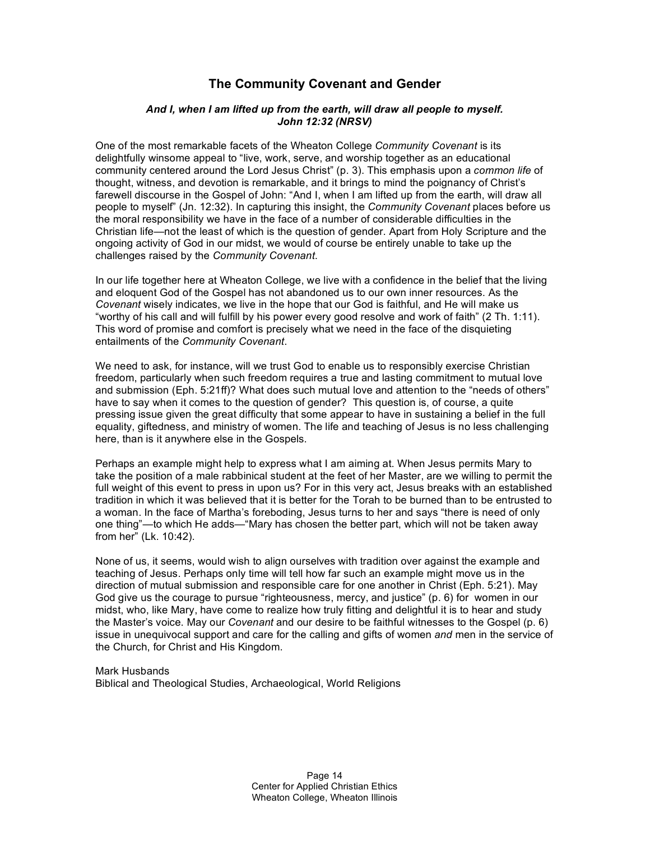## **The Community Covenant and Gender**

#### *And I, when I am lifted up from the earth, will draw all people to myself. John 12:32 (NRSV)*

One of the most remarkable facets of the Wheaton College *Community Covenant* is its delightfully winsome appeal to "live, work, serve, and worship together as an educational community centered around the Lord Jesus Christ" (p. 3). This emphasis upon a *common life* of thought, witness, and devotion is remarkable, and it brings to mind the poignancy of Christ's farewell discourse in the Gospel of John: "And I, when I am lifted up from the earth, will draw all people to myself" (Jn. 12:32). In capturing this insight, the *Community Covenant* places before us the moral responsibility we have in the face of a number of considerable difficulties in the Christian life—not the least of which is the question of gender. Apart from Holy Scripture and the ongoing activity of God in our midst, we would of course be entirely unable to take up the challenges raised by the *Community Covenant*.

In our life together here at Wheaton College, we live with a confidence in the belief that the living and eloquent God of the Gospel has not abandoned us to our own inner resources. As the *Covenant* wisely indicates, we live in the hope that our God is faithful, and He will make us "worthy of his call and will fulfill by his power every good resolve and work of faith" (2 Th. 1:11). This word of promise and comfort is precisely what we need in the face of the disquieting entailments of the *Community Covenant*.

We need to ask, for instance, will we trust God to enable us to responsibly exercise Christian freedom, particularly when such freedom requires a true and lasting commitment to mutual love and submission (Eph. 5:21ff)? What does such mutual love and attention to the "needs of others" have to say when it comes to the question of gender? This question is, of course, a quite pressing issue given the great difficulty that some appear to have in sustaining a belief in the full equality, giftedness, and ministry of women. The life and teaching of Jesus is no less challenging here, than is it anywhere else in the Gospels.

Perhaps an example might help to express what I am aiming at. When Jesus permits Mary to take the position of a male rabbinical student at the feet of her Master, are we willing to permit the full weight of this event to press in upon us? For in this very act, Jesus breaks with an established tradition in which it was believed that it is better for the Torah to be burned than to be entrusted to a woman. In the face of Martha's foreboding, Jesus turns to her and says "there is need of only one thing"—to which He adds—"Mary has chosen the better part, which will not be taken away from her" (Lk. 10:42).

None of us, it seems, would wish to align ourselves with tradition over against the example and teaching of Jesus. Perhaps only time will tell how far such an example might move us in the direction of mutual submission and responsible care for one another in Christ (Eph. 5:21). May God give us the courage to pursue "righteousness, mercy, and justice" (p. 6) for women in our midst, who, like Mary, have come to realize how truly fitting and delightful it is to hear and study the Master's voice. May our *Covenant* and our desire to be faithful witnesses to the Gospel (p. 6) issue in unequivocal support and care for the calling and gifts of women *and* men in the service of the Church, for Christ and His Kingdom.

Mark Husbands Biblical and Theological Studies, Archaeological, World Religions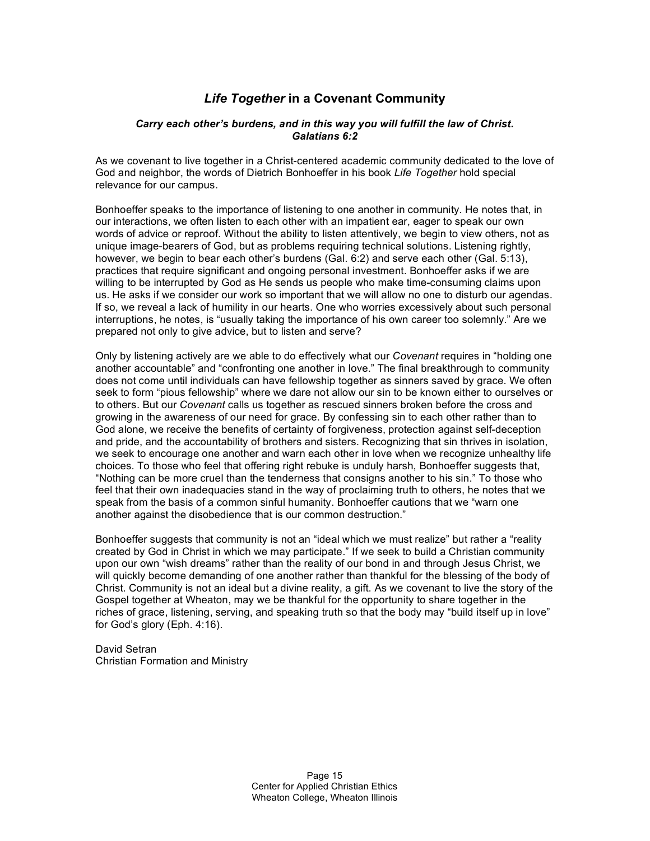# *Life Together* **in a Covenant Community**

### *Carry each other's burdens, and in this way you will fulfill the law of Christ. Galatians 6:2*

As we covenant to live together in a Christ-centered academic community dedicated to the love of God and neighbor, the words of Dietrich Bonhoeffer in his book *Life Together* hold special relevance for our campus.

Bonhoeffer speaks to the importance of listening to one another in community. He notes that, in our interactions, we often listen to each other with an impatient ear, eager to speak our own words of advice or reproof. Without the ability to listen attentively, we begin to view others, not as unique image-bearers of God, but as problems requiring technical solutions. Listening rightly, however, we begin to bear each other's burdens (Gal. 6:2) and serve each other (Gal. 5:13), practices that require significant and ongoing personal investment. Bonhoeffer asks if we are willing to be interrupted by God as He sends us people who make time-consuming claims upon us. He asks if we consider our work so important that we will allow no one to disturb our agendas. If so, we reveal a lack of humility in our hearts. One who worries excessively about such personal interruptions, he notes, is "usually taking the importance of his own career too solemnly." Are we prepared not only to give advice, but to listen and serve?

Only by listening actively are we able to do effectively what our *Covenant* requires in "holding one another accountable" and "confronting one another in love." The final breakthrough to community does not come until individuals can have fellowship together as sinners saved by grace. We often seek to form "pious fellowship" where we dare not allow our sin to be known either to ourselves or to others. But our *Covenant* calls us together as rescued sinners broken before the cross and growing in the awareness of our need for grace. By confessing sin to each other rather than to God alone, we receive the benefits of certainty of forgiveness, protection against self-deception and pride, and the accountability of brothers and sisters. Recognizing that sin thrives in isolation, we seek to encourage one another and warn each other in love when we recognize unhealthy life choices. To those who feel that offering right rebuke is unduly harsh, Bonhoeffer suggests that, "Nothing can be more cruel than the tenderness that consigns another to his sin." To those who feel that their own inadequacies stand in the way of proclaiming truth to others, he notes that we speak from the basis of a common sinful humanity. Bonhoeffer cautions that we "warn one another against the disobedience that is our common destruction."

Bonhoeffer suggests that community is not an "ideal which we must realize" but rather a "reality created by God in Christ in which we may participate." If we seek to build a Christian community upon our own "wish dreams" rather than the reality of our bond in and through Jesus Christ, we will quickly become demanding of one another rather than thankful for the blessing of the body of Christ. Community is not an ideal but a divine reality, a gift. As we covenant to live the story of the Gospel together at Wheaton, may we be thankful for the opportunity to share together in the riches of grace, listening, serving, and speaking truth so that the body may "build itself up in love" for God's glory (Eph. 4:16).

David Setran Christian Formation and Ministry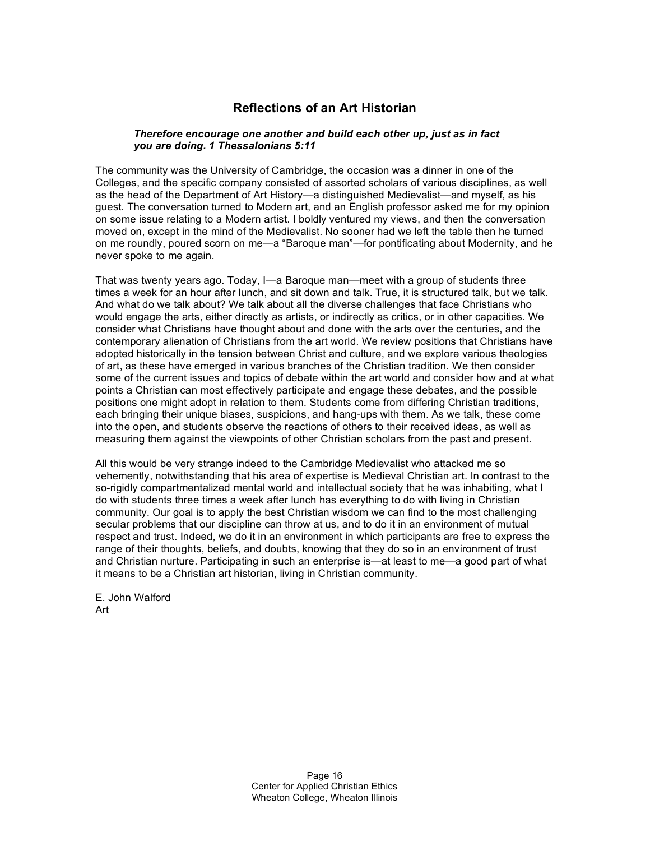## **Reflections of an Art Historian**

### *Therefore encourage one another and build each other up, just as in fact you are doing. 1 Thessalonians 5:11*

The community was the University of Cambridge, the occasion was a dinner in one of the Colleges, and the specific company consisted of assorted scholars of various disciplines, as well as the head of the Department of Art History—a distinguished Medievalist—and myself, as his guest. The conversation turned to Modern art, and an English professor asked me for my opinion on some issue relating to a Modern artist. I boldly ventured my views, and then the conversation moved on, except in the mind of the Medievalist. No sooner had we left the table then he turned on me roundly, poured scorn on me—a "Baroque man"—for pontificating about Modernity, and he never spoke to me again.

That was twenty years ago. Today, I—a Baroque man—meet with a group of students three times a week for an hour after lunch, and sit down and talk. True, it is structured talk, but we talk. And what do we talk about? We talk about all the diverse challenges that face Christians who would engage the arts, either directly as artists, or indirectly as critics, or in other capacities. We consider what Christians have thought about and done with the arts over the centuries, and the contemporary alienation of Christians from the art world. We review positions that Christians have adopted historically in the tension between Christ and culture, and we explore various theologies of art, as these have emerged in various branches of the Christian tradition. We then consider some of the current issues and topics of debate within the art world and consider how and at what points a Christian can most effectively participate and engage these debates, and the possible positions one might adopt in relation to them. Students come from differing Christian traditions, each bringing their unique biases, suspicions, and hang-ups with them. As we talk, these come into the open, and students observe the reactions of others to their received ideas, as well as measuring them against the viewpoints of other Christian scholars from the past and present.

All this would be very strange indeed to the Cambridge Medievalist who attacked me so vehemently, notwithstanding that his area of expertise is Medieval Christian art. In contrast to the so-rigidly compartmentalized mental world and intellectual society that he was inhabiting, what I do with students three times a week after lunch has everything to do with living in Christian community. Our goal is to apply the best Christian wisdom we can find to the most challenging secular problems that our discipline can throw at us, and to do it in an environment of mutual respect and trust. Indeed, we do it in an environment in which participants are free to express the range of their thoughts, beliefs, and doubts, knowing that they do so in an environment of trust and Christian nurture. Participating in such an enterprise is—at least to me—a good part of what it means to be a Christian art historian, living in Christian community.

E. John Walford Art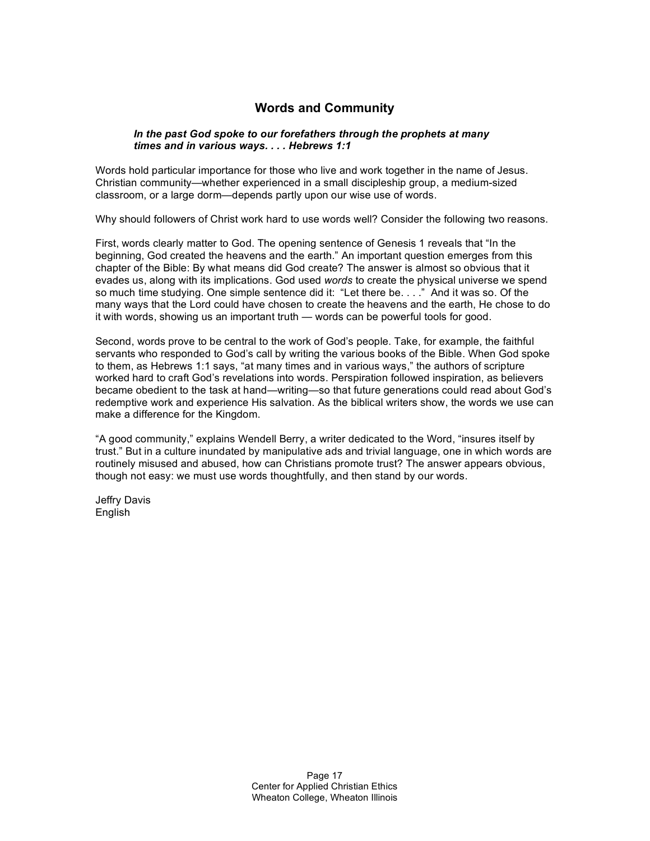# **Words and Community**

### *In the past God spoke to our forefathers through the prophets at many times and in various ways. . . . Hebrews 1:1*

Words hold particular importance for those who live and work together in the name of Jesus. Christian community—whether experienced in a small discipleship group, a medium-sized classroom, or a large dorm—depends partly upon our wise use of words.

Why should followers of Christ work hard to use words well? Consider the following two reasons.

First, words clearly matter to God. The opening sentence of Genesis 1 reveals that "In the beginning, God created the heavens and the earth." An important question emerges from this chapter of the Bible: By what means did God create? The answer is almost so obvious that it evades us, along with its implications. God used *words* to create the physical universe we spend so much time studying. One simple sentence did it: "Let there be. . . ." And it was so. Of the many ways that the Lord could have chosen to create the heavens and the earth, He chose to do it with words, showing us an important truth — words can be powerful tools for good.

Second, words prove to be central to the work of God's people. Take, for example, the faithful servants who responded to God's call by writing the various books of the Bible. When God spoke to them, as Hebrews 1:1 says, "at many times and in various ways," the authors of scripture worked hard to craft God's revelations into words. Perspiration followed inspiration, as believers became obedient to the task at hand—writing—so that future generations could read about God's redemptive work and experience His salvation. As the biblical writers show, the words we use can make a difference for the Kingdom.

"A good community," explains Wendell Berry, a writer dedicated to the Word, "insures itself by trust." But in a culture inundated by manipulative ads and trivial language, one in which words are routinely misused and abused, how can Christians promote trust? The answer appears obvious, though not easy: we must use words thoughtfully, and then stand by our words.

Jeffry Davis English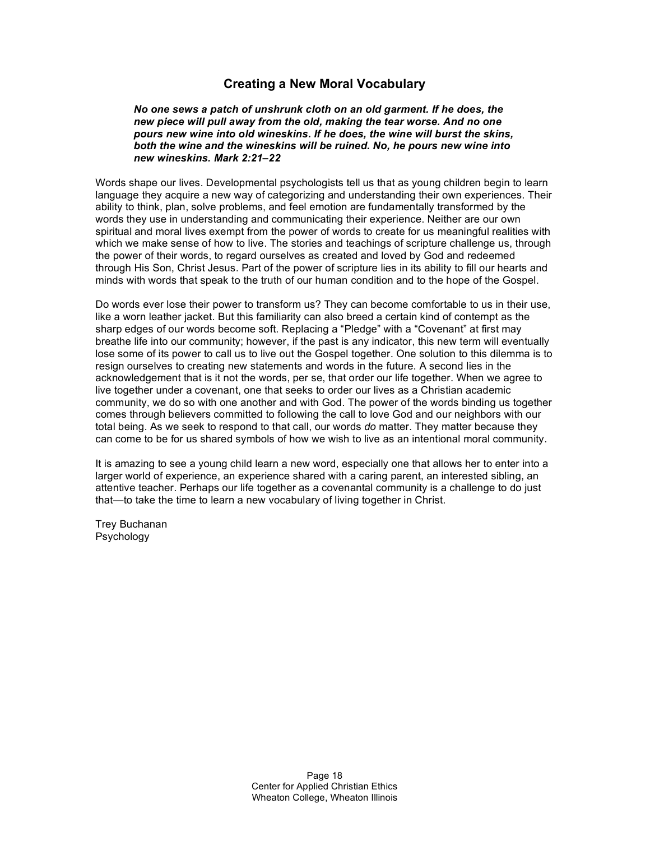### **Creating a New Moral Vocabulary**

*No one sews a patch of unshrunk cloth on an old garment. If he does, the new piece will pull away from the old, making the tear worse. And no one pours new wine into old wineskins. If he does, the wine will burst the skins, both the wine and the wineskins will be ruined. No, he pours new wine into new wineskins. Mark 2:21–22*

Words shape our lives. Developmental psychologists tell us that as young children begin to learn language they acquire a new way of categorizing and understanding their own experiences. Their ability to think, plan, solve problems, and feel emotion are fundamentally transformed by the words they use in understanding and communicating their experience. Neither are our own spiritual and moral lives exempt from the power of words to create for us meaningful realities with which we make sense of how to live. The stories and teachings of scripture challenge us, through the power of their words, to regard ourselves as created and loved by God and redeemed through His Son, Christ Jesus. Part of the power of scripture lies in its ability to fill our hearts and minds with words that speak to the truth of our human condition and to the hope of the Gospel.

Do words ever lose their power to transform us? They can become comfortable to us in their use, like a worn leather jacket. But this familiarity can also breed a certain kind of contempt as the sharp edges of our words become soft. Replacing a "Pledge" with a "Covenant" at first may breathe life into our community; however, if the past is any indicator, this new term will eventually lose some of its power to call us to live out the Gospel together. One solution to this dilemma is to resign ourselves to creating new statements and words in the future. A second lies in the acknowledgement that is it not the words, per se, that order our life together. When we agree to live together under a covenant, one that seeks to order our lives as a Christian academic community, we do so with one another and with God. The power of the words binding us together comes through believers committed to following the call to love God and our neighbors with our total being. As we seek to respond to that call, our words *do* matter. They matter because they can come to be for us shared symbols of how we wish to live as an intentional moral community.

It is amazing to see a young child learn a new word, especially one that allows her to enter into a larger world of experience, an experience shared with a caring parent, an interested sibling, an attentive teacher. Perhaps our life together as a covenantal community is a challenge to do just that—to take the time to learn a new vocabulary of living together in Christ.

Trey Buchanan Psychology